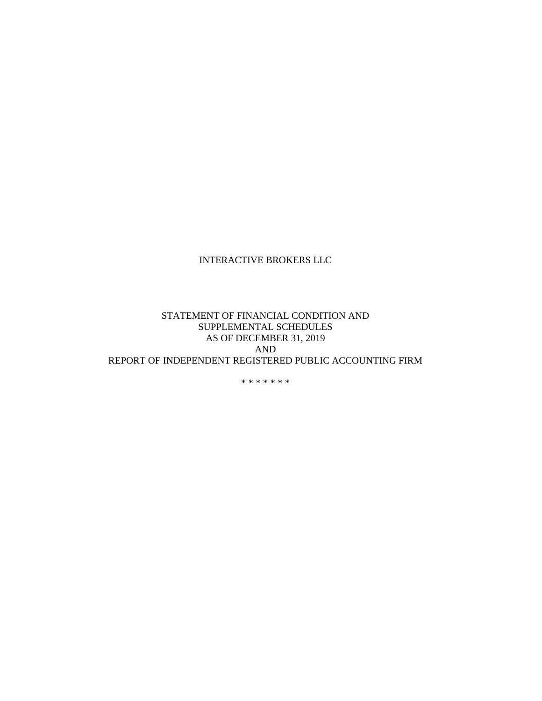### STATEMENT OF FINANCIAL CONDITION AND SUPPLEMENTAL SCHEDULES AS OF DECEMBER 31, 2019 AND REPORT OF INDEPENDENT REGISTERED PUBLIC ACCOUNTING FIRM

\* \* \* \* \* \* \*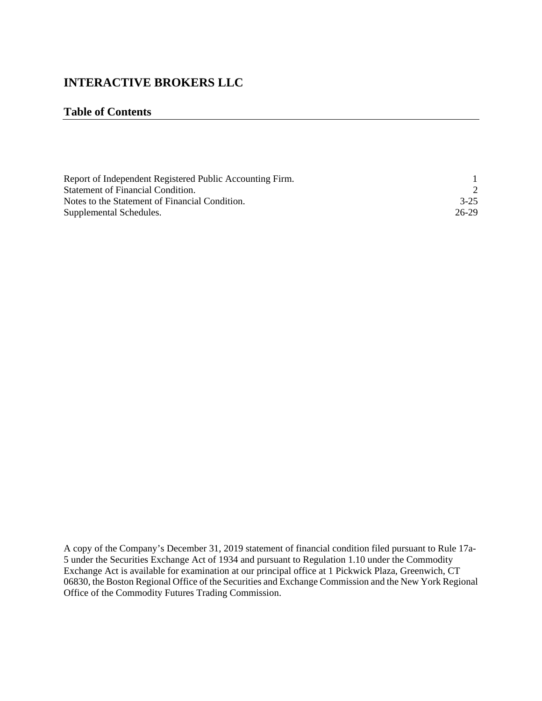### **Table of Contents**

| Report of Independent Registered Public Accounting Firm. |          |
|----------------------------------------------------------|----------|
| Statement of Financial Condition.                        |          |
| Notes to the Statement of Financial Condition.           | $3 - 25$ |
| Supplemental Schedules.                                  | 26-29    |

A copy of the Company's December 31, 2019 statement of financial condition filed pursuant to Rule 17a-5 under the Securities Exchange Act of 1934 and pursuant to Regulation 1.10 under the Commodity Exchange Act is available for examination at our principal office at 1 Pickwick Plaza, Greenwich, CT 06830, the Boston Regional Office of the Securities and Exchange Commission and the New York Regional Office of the Commodity Futures Trading Commission.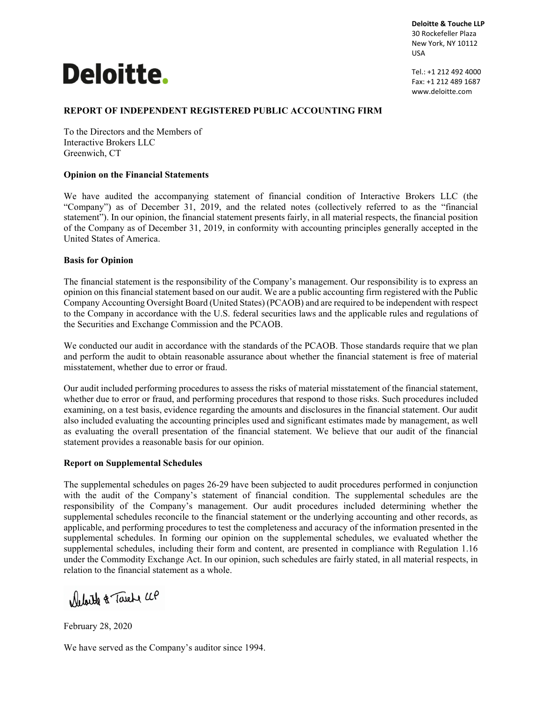# **Deloitte.**

**Deloitte & Touche LLP** 30 Rockefeller Plaza New York, NY 10112 USA

Tel.: +1 212 492 4000 Fax: +1 212 489 1687 www.deloitte.com

### **REPORT OF INDEPENDENT REGISTERED PUBLIC ACCOUNTING FIRM**

To the Directors and the Members of Interactive Brokers LLC Greenwich, CT

#### **Opinion on the Financial Statements**

We have audited the accompanying statement of financial condition of Interactive Brokers LLC (the "Company") as of December 31, 2019, and the related notes (collectively referred to as the "financial statement"). In our opinion, the financial statement presents fairly, in all material respects, the financial position of the Company as of December 31, 2019, in conformity with accounting principles generally accepted in the United States of America.

#### **Basis for Opinion**

The financial statement is the responsibility of the Company's management. Our responsibility is to express an opinion on this financial statement based on our audit. We are a public accounting firm registered with the Public Company Accounting Oversight Board (United States) (PCAOB) and are required to be independent with respect to the Company in accordance with the U.S. federal securities laws and the applicable rules and regulations of the Securities and Exchange Commission and the PCAOB.

We conducted our audit in accordance with the standards of the PCAOB. Those standards require that we plan and perform the audit to obtain reasonable assurance about whether the financial statement is free of material misstatement, whether due to error or fraud.

Our audit included performing procedures to assess the risks of material misstatement of the financial statement, whether due to error or fraud, and performing procedures that respond to those risks. Such procedures included examining, on a test basis, evidence regarding the amounts and disclosures in the financial statement. Our audit also included evaluating the accounting principles used and significant estimates made by management, as well as evaluating the overall presentation of the financial statement. We believe that our audit of the financial statement provides a reasonable basis for our opinion.

#### **Report on Supplemental Schedules**

The supplemental schedules on pages 26-29 have been subjected to audit procedures performed in conjunction with the audit of the Company's statement of financial condition. The supplemental schedules are the responsibility of the Company's management. Our audit procedures included determining whether the supplemental schedules reconcile to the financial statement or the underlying accounting and other records, as applicable, and performing procedures to test the completeness and accuracy of the information presented in the supplemental schedules. In forming our opinion on the supplemental schedules, we evaluated whether the supplemental schedules, including their form and content, are presented in compliance with Regulation 1.16 under the Commodity Exchange Act. In our opinion, such schedules are fairly stated, in all material respects, in relation to the financial statement as a whole.

Melate & Tarete UP

February 28, 2020

We have served as the Company's auditor since 1994.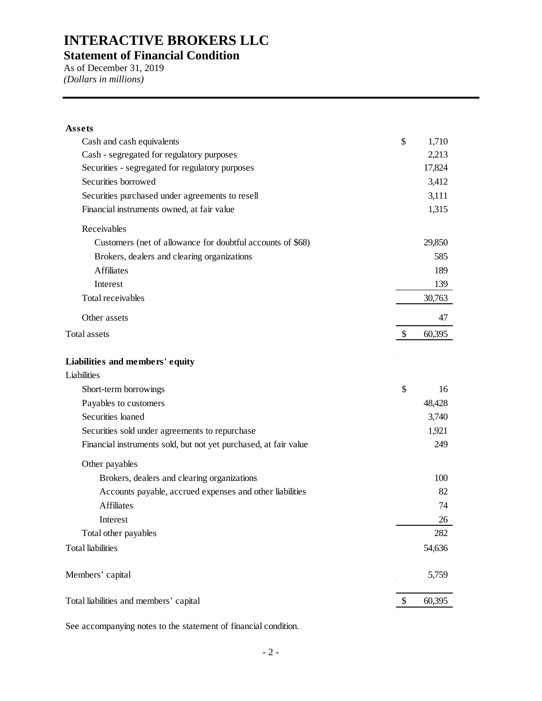### **Statement of Financial Condition**

As of December 31, 2019 *(Dollars in millions)*

| <b>Assets</b>                                                    |              |
|------------------------------------------------------------------|--------------|
| Cash and cash equivalents                                        | \$<br>1,710  |
| Cash - segregated for regulatory purposes                        | 2,213        |
| Securities - segregated for regulatory purposes                  | 17,824       |
| Securities borrowed                                              | 3,412        |
| Securities purchased under agreements to resell                  | 3,111        |
| Financial instruments owned, at fair value                       | 1,315        |
| Receivables                                                      |              |
| Customers (net of allowance for doubtful accounts of \$68)       | 29,850       |
| Brokers, dealers and clearing organizations                      | 585          |
| <b>Affiliates</b>                                                | 189          |
| Interest                                                         | 139          |
| Total receivables                                                | 30,763       |
| Other assets                                                     | 47           |
| Total assets                                                     | \$<br>60,395 |
| Liabilities and members' equity                                  |              |
| Liabilities                                                      |              |
| Short-term borrowings                                            | \$<br>16     |
| Payables to customers                                            | 48,428       |
| Securities loaned                                                | 3,740        |
| Securities sold under agreements to repurchase                   | 1,921        |
| Financial instruments sold, but not yet purchased, at fair value | 249          |
| Other payables                                                   |              |
| Brokers, dealers and clearing organizations                      | 100          |
| Accounts payable, accrued expenses and other liabilities         | 82           |
| <b>Affiliates</b>                                                | 74           |
| Interest                                                         | 26           |
| Total other payables                                             | 282          |
| <b>Total liabilities</b>                                         | 54,636       |
| Members' capital                                                 | 5,759        |
| Total liabilities and members' capital                           | \$<br>60,395 |

See accompanying notes to the statement of financial condition.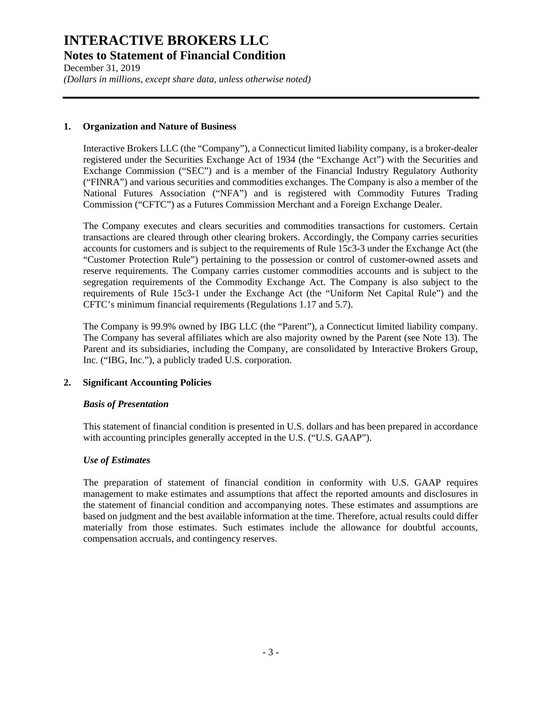December 31, 2019 *(Dollars in millions, except share data, unless otherwise noted)*

### **1. Organization and Nature of Business**

Interactive Brokers LLC (the "Company"), a Connecticut limited liability company, is a broker-dealer registered under the Securities Exchange Act of 1934 (the "Exchange Act") with the Securities and Exchange Commission ("SEC") and is a member of the Financial Industry Regulatory Authority ("FINRA") and various securities and commodities exchanges. The Company is also a member of the National Futures Association ("NFA") and is registered with Commodity Futures Trading Commission ("CFTC") as a Futures Commission Merchant and a Foreign Exchange Dealer.

The Company executes and clears securities and commodities transactions for customers. Certain transactions are cleared through other clearing brokers. Accordingly, the Company carries securities accounts for customers and is subject to the requirements of Rule 15c3-3 under the Exchange Act (the "Customer Protection Rule") pertaining to the possession or control of customer-owned assets and reserve requirements. The Company carries customer commodities accounts and is subject to the segregation requirements of the Commodity Exchange Act. The Company is also subject to the requirements of Rule 15c3-1 under the Exchange Act (the "Uniform Net Capital Rule") and the CFTC's minimum financial requirements (Regulations 1.17 and 5.7).

The Company is 99.9% owned by IBG LLC (the "Parent"), a Connecticut limited liability company. The Company has several affiliates which are also majority owned by the Parent (see Note 13). The Parent and its subsidiaries, including the Company, are consolidated by Interactive Brokers Group, Inc. ("IBG, Inc."), a publicly traded U.S. corporation.

### **2. Significant Accounting Policies**

### *Basis of Presentation*

This statement of financial condition is presented in U.S. dollars and has been prepared in accordance with accounting principles generally accepted in the U.S. ("U.S. GAAP").

### *Use of Estimates*

The preparation of statement of financial condition in conformity with U.S. GAAP requires management to make estimates and assumptions that affect the reported amounts and disclosures in the statement of financial condition and accompanying notes. These estimates and assumptions are based on judgment and the best available information at the time. Therefore, actual results could differ materially from those estimates. Such estimates include the allowance for doubtful accounts, compensation accruals, and contingency reserves.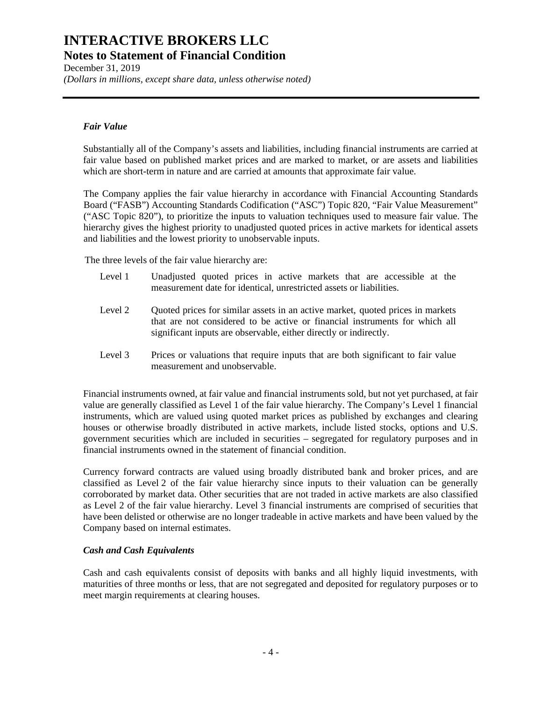December 31, 2019 *(Dollars in millions, except share data, unless otherwise noted)*

### *Fair Value*

Substantially all of the Company's assets and liabilities, including financial instruments are carried at fair value based on published market prices and are marked to market, or are assets and liabilities which are short-term in nature and are carried at amounts that approximate fair value.

The Company applies the fair value hierarchy in accordance with Financial Accounting Standards Board ("FASB") Accounting Standards Codification ("ASC") Topic 820, "Fair Value Measurement" ("ASC Topic 820"), to prioritize the inputs to valuation techniques used to measure fair value. The hierarchy gives the highest priority to unadjusted quoted prices in active markets for identical assets and liabilities and the lowest priority to unobservable inputs.

The three levels of the fair value hierarchy are:

- Level 1 Unadjusted quoted prices in active markets that are accessible at the measurement date for identical, unrestricted assets or liabilities.
- Level 2 Quoted prices for similar assets in an active market, quoted prices in markets that are not considered to be active or financial instruments for which all significant inputs are observable, either directly or indirectly.
- Level 3 Prices or valuations that require inputs that are both significant to fair value measurement and unobservable.

Financial instruments owned, at fair value and financial instruments sold, but not yet purchased, at fair value are generally classified as Level 1 of the fair value hierarchy. The Company's Level 1 financial instruments, which are valued using quoted market prices as published by exchanges and clearing houses or otherwise broadly distributed in active markets, include listed stocks, options and U.S. government securities which are included in securities – segregated for regulatory purposes and in financial instruments owned in the statement of financial condition.

Currency forward contracts are valued using broadly distributed bank and broker prices, and are classified as Level 2 of the fair value hierarchy since inputs to their valuation can be generally corroborated by market data. Other securities that are not traded in active markets are also classified as Level 2 of the fair value hierarchy. Level 3 financial instruments are comprised of securities that have been delisted or otherwise are no longer tradeable in active markets and have been valued by the Company based on internal estimates.

### *Cash and Cash Equivalents*

Cash and cash equivalents consist of deposits with banks and all highly liquid investments, with maturities of three months or less, that are not segregated and deposited for regulatory purposes or to meet margin requirements at clearing houses.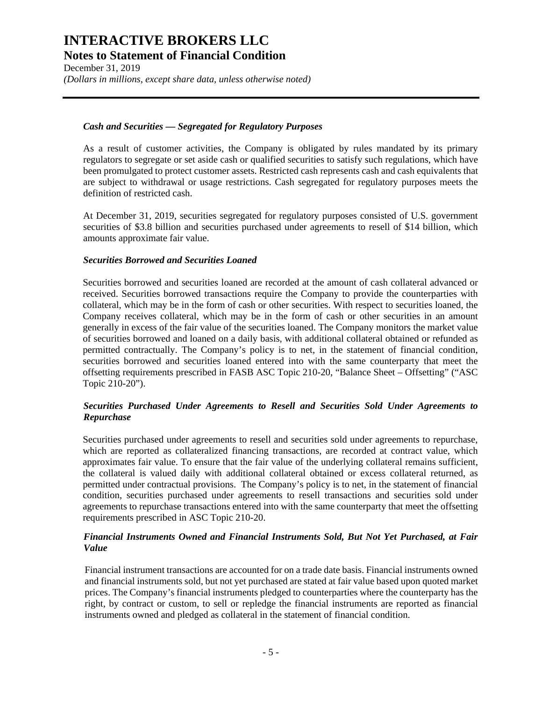December 31, 2019 *(Dollars in millions, except share data, unless otherwise noted)*

### *Cash and Securities — Segregated for Regulatory Purposes*

As a result of customer activities, the Company is obligated by rules mandated by its primary regulators to segregate or set aside cash or qualified securities to satisfy such regulations, which have been promulgated to protect customer assets. Restricted cash represents cash and cash equivalents that are subject to withdrawal or usage restrictions. Cash segregated for regulatory purposes meets the definition of restricted cash.

At December 31, 2019, securities segregated for regulatory purposes consisted of U.S. government securities of \$3.8 billion and securities purchased under agreements to resell of \$14 billion, which amounts approximate fair value.

### *Securities Borrowed and Securities Loaned*

Securities borrowed and securities loaned are recorded at the amount of cash collateral advanced or received. Securities borrowed transactions require the Company to provide the counterparties with collateral, which may be in the form of cash or other securities. With respect to securities loaned, the Company receives collateral, which may be in the form of cash or other securities in an amount generally in excess of the fair value of the securities loaned. The Company monitors the market value of securities borrowed and loaned on a daily basis, with additional collateral obtained or refunded as permitted contractually. The Company's policy is to net, in the statement of financial condition, securities borrowed and securities loaned entered into with the same counterparty that meet the offsetting requirements prescribed in FASB ASC Topic 210-20, "Balance Sheet – Offsetting" ("ASC Topic 210-20").

### *Securities Purchased Under Agreements to Resell and Securities Sold Under Agreements to Repurchase*

Securities purchased under agreements to resell and securities sold under agreements to repurchase, which are reported as collateralized financing transactions, are recorded at contract value, which approximates fair value. To ensure that the fair value of the underlying collateral remains sufficient, the collateral is valued daily with additional collateral obtained or excess collateral returned, as permitted under contractual provisions. The Company's policy is to net, in the statement of financial condition, securities purchased under agreements to resell transactions and securities sold under agreements to repurchase transactions entered into with the same counterparty that meet the offsetting requirements prescribed in ASC Topic 210-20.

### *Financial Instruments Owned and Financial Instruments Sold, But Not Yet Purchased, at Fair Value*

Financial instrument transactions are accounted for on a trade date basis. Financial instruments owned and financial instruments sold, but not yet purchased are stated at fair value based upon quoted market prices. The Company's financial instruments pledged to counterparties where the counterparty has the right, by contract or custom, to sell or repledge the financial instruments are reported as financial instruments owned and pledged as collateral in the statement of financial condition.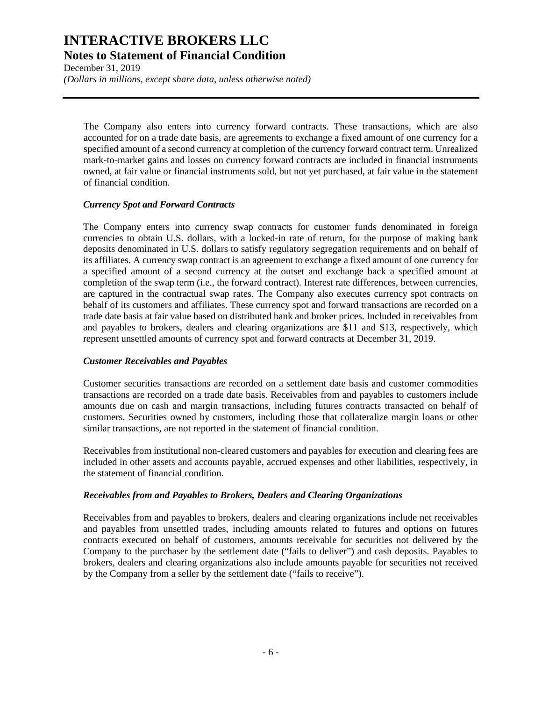December 31, 2019 *(Dollars in millions, except share data, unless otherwise noted)*

The Company also enters into currency forward contracts. These transactions, which are also accounted for on a trade date basis, are agreements to exchange a fixed amount of one currency for a specified amount of a second currency at completion of the currency forward contract term. Unrealized mark-to-market gains and losses on currency forward contracts are included in financial instruments owned, at fair value or financial instruments sold, but not yet purchased, at fair value in the statement of financial condition.

### *Currency Spot and Forward Contracts*

The Company enters into currency swap contracts for customer funds denominated in foreign currencies to obtain U.S. dollars, with a locked-in rate of return, for the purpose of making bank deposits denominated in U.S. dollars to satisfy regulatory segregation requirements and on behalf of its affiliates. A currency swap contract is an agreement to exchange a fixed amount of one currency for a specified amount of a second currency at the outset and exchange back a specified amount at completion of the swap term (i.e., the forward contract). Interest rate differences, between currencies, are captured in the contractual swap rates. The Company also executes currency spot contracts on behalf of its customers and affiliates. These currency spot and forward transactions are recorded on a trade date basis at fair value based on distributed bank and broker prices. Included in receivables from and payables to brokers, dealers and clearing organizations are \$11 and \$13, respectively, which represent unsettled amounts of currency spot and forward contracts at December 31, 2019.

### *Customer Receivables and Payables*

Customer securities transactions are recorded on a settlement date basis and customer commodities transactions are recorded on a trade date basis. Receivables from and payables to customers include amounts due on cash and margin transactions, including futures contracts transacted on behalf of customers. Securities owned by customers, including those that collateralize margin loans or other similar transactions, are not reported in the statement of financial condition.

Receivables from institutional non-cleared customers and payables for execution and clearing fees are included in other assets and accounts payable, accrued expenses and other liabilities, respectively, in the statement of financial condition.

### *Receivables from and Payables to Brokers, Dealers and Clearing Organizations*

Receivables from and payables to brokers, dealers and clearing organizations include net receivables and payables from unsettled trades, including amounts related to futures and options on futures contracts executed on behalf of customers, amounts receivable for securities not delivered by the Company to the purchaser by the settlement date ("fails to deliver") and cash deposits. Payables to brokers, dealers and clearing organizations also include amounts payable for securities not received by the Company from a seller by the settlement date ("fails to receive").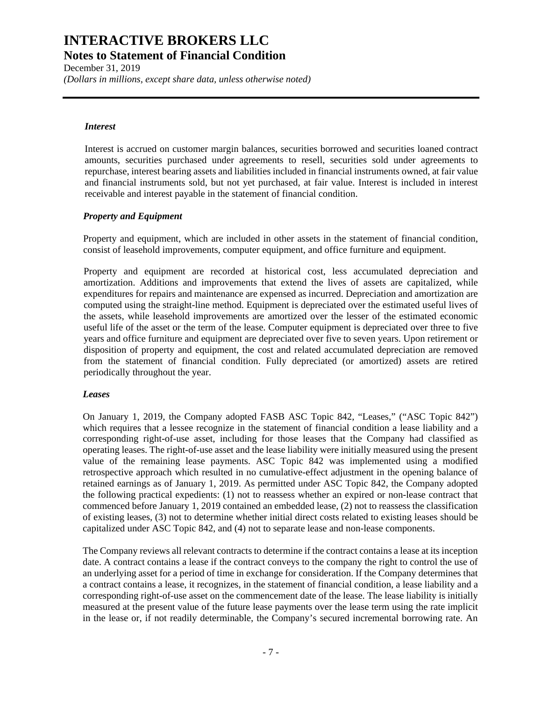December 31, 2019 *(Dollars in millions, except share data, unless otherwise noted)*

#### *Interest*

Interest is accrued on customer margin balances, securities borrowed and securities loaned contract amounts, securities purchased under agreements to resell, securities sold under agreements to repurchase, interest bearing assets and liabilities included in financial instruments owned, at fair value and financial instruments sold, but not yet purchased, at fair value. Interest is included in interest receivable and interest payable in the statement of financial condition.

### *Property and Equipment*

Property and equipment, which are included in other assets in the statement of financial condition, consist of leasehold improvements, computer equipment, and office furniture and equipment.

Property and equipment are recorded at historical cost, less accumulated depreciation and amortization. Additions and improvements that extend the lives of assets are capitalized, while expenditures for repairs and maintenance are expensed as incurred. Depreciation and amortization are computed using the straight-line method. Equipment is depreciated over the estimated useful lives of the assets, while leasehold improvements are amortized over the lesser of the estimated economic useful life of the asset or the term of the lease. Computer equipment is depreciated over three to five years and office furniture and equipment are depreciated over five to seven years. Upon retirement or disposition of property and equipment, the cost and related accumulated depreciation are removed from the statement of financial condition. Fully depreciated (or amortized) assets are retired periodically throughout the year.

### *Leases*

On January 1, 2019, the Company adopted FASB ASC Topic 842, "Leases," ("ASC Topic 842") which requires that a lessee recognize in the statement of financial condition a lease liability and a corresponding right-of-use asset, including for those leases that the Company had classified as operating leases. The right-of-use asset and the lease liability were initially measured using the present value of the remaining lease payments. ASC Topic 842 was implemented using a modified retrospective approach which resulted in no cumulative-effect adjustment in the opening balance of retained earnings as of January 1, 2019. As permitted under ASC Topic 842, the Company adopted the following practical expedients: (1) not to reassess whether an expired or non-lease contract that commenced before January 1, 2019 contained an embedded lease, (2) not to reassess the classification of existing leases, (3) not to determine whether initial direct costs related to existing leases should be capitalized under ASC Topic 842, and (4) not to separate lease and non-lease components.

The Company reviews all relevant contracts to determine if the contract contains a lease at its inception date. A contract contains a lease if the contract conveys to the company the right to control the use of an underlying asset for a period of time in exchange for consideration. If the Company determines that a contract contains a lease, it recognizes, in the statement of financial condition, a lease liability and a corresponding right-of-use asset on the commencement date of the lease. The lease liability is initially measured at the present value of the future lease payments over the lease term using the rate implicit in the lease or, if not readily determinable, the Company's secured incremental borrowing rate. An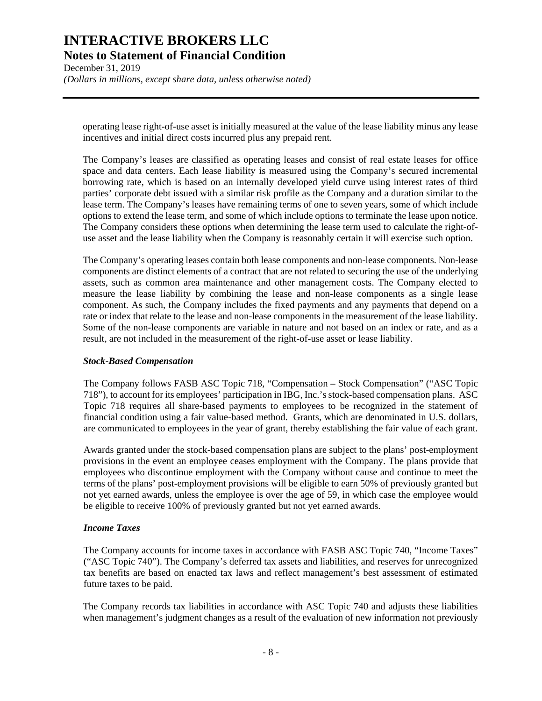December 31, 2019 *(Dollars in millions, except share data, unless otherwise noted)*

operating lease right-of-use asset is initially measured at the value of the lease liability minus any lease incentives and initial direct costs incurred plus any prepaid rent.

The Company's leases are classified as operating leases and consist of real estate leases for office space and data centers. Each lease liability is measured using the Company's secured incremental borrowing rate, which is based on an internally developed yield curve using interest rates of third parties' corporate debt issued with a similar risk profile as the Company and a duration similar to the lease term. The Company's leases have remaining terms of one to seven years, some of which include options to extend the lease term, and some of which include options to terminate the lease upon notice. The Company considers these options when determining the lease term used to calculate the right-ofuse asset and the lease liability when the Company is reasonably certain it will exercise such option.

The Company's operating leases contain both lease components and non-lease components. Non-lease components are distinct elements of a contract that are not related to securing the use of the underlying assets, such as common area maintenance and other management costs. The Company elected to measure the lease liability by combining the lease and non-lease components as a single lease component. As such, the Company includes the fixed payments and any payments that depend on a rate or index that relate to the lease and non-lease components in the measurement of the lease liability. Some of the non-lease components are variable in nature and not based on an index or rate, and as a result, are not included in the measurement of the right-of-use asset or lease liability.

### *Stock-Based Compensation*

The Company follows FASB ASC Topic 718, "Compensation – Stock Compensation" ("ASC Topic 718"), to account for its employees' participation in IBG, Inc.'s stock-based compensation plans. ASC Topic 718 requires all share-based payments to employees to be recognized in the statement of financial condition using a fair value-based method. Grants, which are denominated in U.S. dollars, are communicated to employees in the year of grant, thereby establishing the fair value of each grant.

Awards granted under the stock-based compensation plans are subject to the plans' post-employment provisions in the event an employee ceases employment with the Company. The plans provide that employees who discontinue employment with the Company without cause and continue to meet the terms of the plans' post-employment provisions will be eligible to earn 50% of previously granted but not yet earned awards, unless the employee is over the age of 59, in which case the employee would be eligible to receive 100% of previously granted but not yet earned awards.

### *Income Taxes*

The Company accounts for income taxes in accordance with FASB ASC Topic 740, "Income Taxes" ("ASC Topic 740"). The Company's deferred tax assets and liabilities, and reserves for unrecognized tax benefits are based on enacted tax laws and reflect management's best assessment of estimated future taxes to be paid.

The Company records tax liabilities in accordance with ASC Topic 740 and adjusts these liabilities when management's judgment changes as a result of the evaluation of new information not previously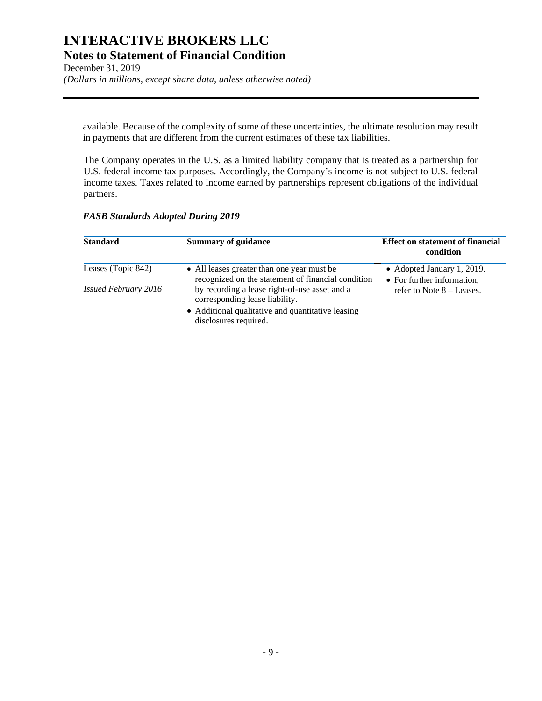December 31, 2019 *(Dollars in millions, except share data, unless otherwise noted)*

available. Because of the complexity of some of these uncertainties, the ultimate resolution may result in payments that are different from the current estimates of these tax liabilities.

The Company operates in the U.S. as a limited liability company that is treated as a partnership for U.S. federal income tax purposes. Accordingly, the Company's income is not subject to U.S. federal income taxes. Taxes related to income earned by partnerships represent obligations of the individual partners.

### *FASB Standards Adopted During 2019*

| <b>Standard</b>             | <b>Summary of guidance</b>                                                                                                                                    | <b>Effect on statement of financial</b><br>condition     |
|-----------------------------|---------------------------------------------------------------------------------------------------------------------------------------------------------------|----------------------------------------------------------|
| Leases (Topic 842)          | • All leases greater than one year must be<br>recognized on the statement of financial condition                                                              | • Adopted January 1, 2019.<br>• For further information, |
| <i>Issued February 2016</i> | by recording a lease right-of-use asset and a<br>corresponding lease liability.<br>• Additional qualitative and quantitative leasing<br>disclosures required. | refer to Note $8 -$ Leases.                              |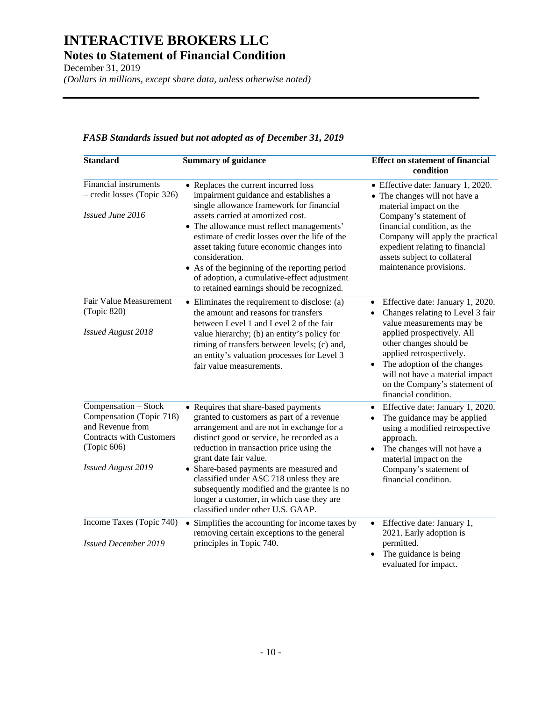December 31, 2019 *(Dollars in millions, except share data, unless otherwise noted)*

### *FASB Standards issued but not adopted as of December 31, 2019*

| <b>Standard</b>                                                                                                                                     | <b>Summary of guidance</b>                                                                                                                                                                                                                                                                                                                                                                                                                                                 | <b>Effect on statement of financial</b><br>condition                                                                                                                                                                                                                                                                           |
|-----------------------------------------------------------------------------------------------------------------------------------------------------|----------------------------------------------------------------------------------------------------------------------------------------------------------------------------------------------------------------------------------------------------------------------------------------------------------------------------------------------------------------------------------------------------------------------------------------------------------------------------|--------------------------------------------------------------------------------------------------------------------------------------------------------------------------------------------------------------------------------------------------------------------------------------------------------------------------------|
| <b>Financial instruments</b><br>- credit losses (Topic 326)<br>Issued June 2016                                                                     | • Replaces the current incurred loss<br>impairment guidance and establishes a<br>single allowance framework for financial<br>assets carried at amortized cost.<br>• The allowance must reflect managements'<br>estimate of credit losses over the life of the<br>asset taking future economic changes into<br>consideration.<br>• As of the beginning of the reporting period<br>of adoption, a cumulative-effect adjustment<br>to retained earnings should be recognized. | • Effective date: January 1, 2020.<br>• The changes will not have a<br>material impact on the<br>Company's statement of<br>financial condition, as the<br>Company will apply the practical<br>expedient relating to financial<br>assets subject to collateral<br>maintenance provisions.                                       |
| <b>Fair Value Measurement</b><br>(Topic 820)<br><b>Issued August 2018</b>                                                                           | • Eliminates the requirement to disclose: (a)<br>the amount and reasons for transfers<br>between Level 1 and Level 2 of the fair<br>value hierarchy; (b) an entity's policy for<br>timing of transfers between levels; (c) and,<br>an entity's valuation processes for Level 3<br>fair value measurements.                                                                                                                                                                 | Effective date: January 1, 2020.<br>$\bullet$<br>Changes relating to Level 3 fair<br>value measurements may be<br>applied prospectively. All<br>other changes should be<br>applied retrospectively.<br>The adoption of the changes<br>will not have a material impact<br>on the Company's statement of<br>financial condition. |
| Compensation - Stock<br>Compensation (Topic 718)<br>and Revenue from<br><b>Contracts with Customers</b><br>(Topic 606)<br><b>Issued August 2019</b> | • Requires that share-based payments<br>granted to customers as part of a revenue<br>arrangement and are not in exchange for a<br>distinct good or service, be recorded as a<br>reduction in transaction price using the<br>grant date fair value.<br>• Share-based payments are measured and<br>classified under ASC 718 unless they are<br>subsequently modified and the grantee is no<br>longer a customer, in which case they are<br>classified under other U.S. GAAP. | Effective date: January 1, 2020.<br>The guidance may be applied<br>using a modified retrospective<br>approach.<br>The changes will not have a<br>$\bullet$<br>material impact on the<br>Company's statement of<br>financial condition.                                                                                         |
| Income Taxes (Topic 740)<br><b>Issued December 2019</b>                                                                                             | • Simplifies the accounting for income taxes by<br>removing certain exceptions to the general<br>principles in Topic 740.                                                                                                                                                                                                                                                                                                                                                  | Effective date: January 1,<br>$\bullet$<br>2021. Early adoption is<br>permitted.<br>The guidance is being<br>evaluated for impact.                                                                                                                                                                                             |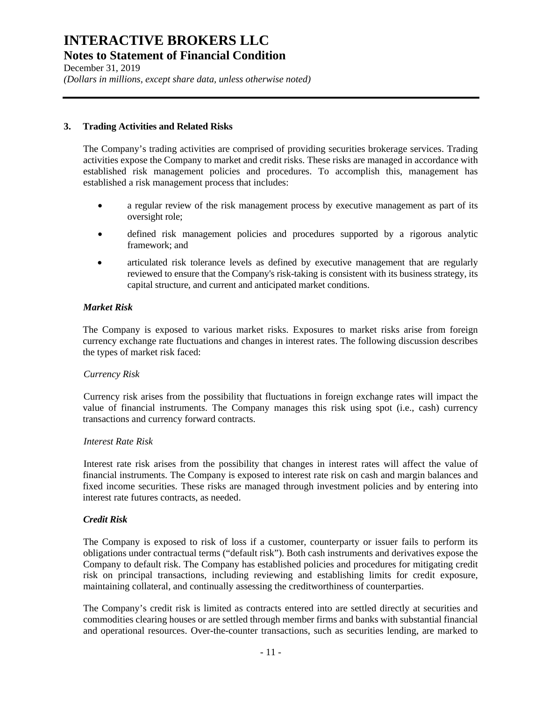December 31, 2019 *(Dollars in millions, except share data, unless otherwise noted)*

### **3. Trading Activities and Related Risks**

The Company's trading activities are comprised of providing securities brokerage services. Trading activities expose the Company to market and credit risks. These risks are managed in accordance with established risk management policies and procedures. To accomplish this, management has established a risk management process that includes:

- a regular review of the risk management process by executive management as part of its oversight role;
- defined risk management policies and procedures supported by a rigorous analytic framework; and
- articulated risk tolerance levels as defined by executive management that are regularly reviewed to ensure that the Company's risk-taking is consistent with its business strategy, its capital structure, and current and anticipated market conditions.

### *Market Risk*

The Company is exposed to various market risks. Exposures to market risks arise from foreign currency exchange rate fluctuations and changes in interest rates. The following discussion describes the types of market risk faced:

### *Currency Risk*

Currency risk arises from the possibility that fluctuations in foreign exchange rates will impact the value of financial instruments. The Company manages this risk using spot (i.e., cash) currency transactions and currency forward contracts.

### *Interest Rate Risk*

Interest rate risk arises from the possibility that changes in interest rates will affect the value of financial instruments. The Company is exposed to interest rate risk on cash and margin balances and fixed income securities. These risks are managed through investment policies and by entering into interest rate futures contracts, as needed.

### *Credit Risk*

The Company is exposed to risk of loss if a customer, counterparty or issuer fails to perform its obligations under contractual terms ("default risk"). Both cash instruments and derivatives expose the Company to default risk. The Company has established policies and procedures for mitigating credit risk on principal transactions, including reviewing and establishing limits for credit exposure, maintaining collateral, and continually assessing the creditworthiness of counterparties.

The Company's credit risk is limited as contracts entered into are settled directly at securities and commodities clearing houses or are settled through member firms and banks with substantial financial and operational resources. Over-the-counter transactions, such as securities lending, are marked to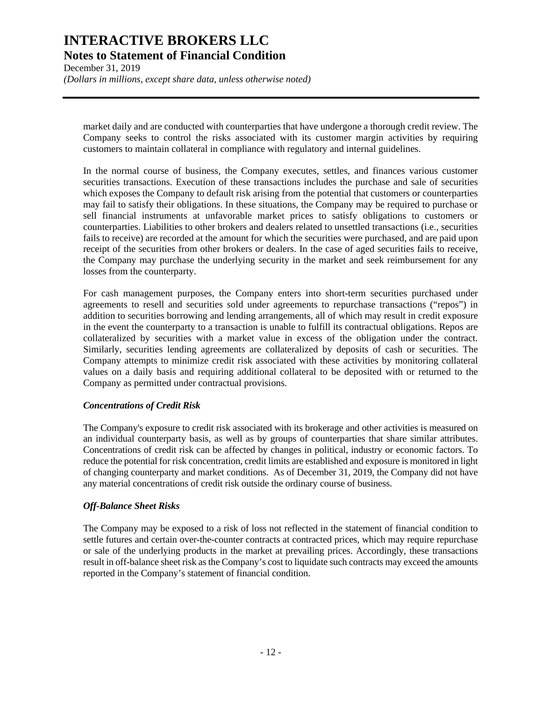December 31, 2019 *(Dollars in millions, except share data, unless otherwise noted)*

market daily and are conducted with counterparties that have undergone a thorough credit review. The Company seeks to control the risks associated with its customer margin activities by requiring customers to maintain collateral in compliance with regulatory and internal guidelines.

In the normal course of business, the Company executes, settles, and finances various customer securities transactions. Execution of these transactions includes the purchase and sale of securities which exposes the Company to default risk arising from the potential that customers or counterparties may fail to satisfy their obligations. In these situations, the Company may be required to purchase or sell financial instruments at unfavorable market prices to satisfy obligations to customers or counterparties. Liabilities to other brokers and dealers related to unsettled transactions (i.e., securities fails to receive) are recorded at the amount for which the securities were purchased, and are paid upon receipt of the securities from other brokers or dealers. In the case of aged securities fails to receive, the Company may purchase the underlying security in the market and seek reimbursement for any losses from the counterparty.

For cash management purposes, the Company enters into short-term securities purchased under agreements to resell and securities sold under agreements to repurchase transactions ("repos") in addition to securities borrowing and lending arrangements, all of which may result in credit exposure in the event the counterparty to a transaction is unable to fulfill its contractual obligations. Repos are collateralized by securities with a market value in excess of the obligation under the contract. Similarly, securities lending agreements are collateralized by deposits of cash or securities. The Company attempts to minimize credit risk associated with these activities by monitoring collateral values on a daily basis and requiring additional collateral to be deposited with or returned to the Company as permitted under contractual provisions.

### *Concentrations of Credit Risk*

The Company's exposure to credit risk associated with its brokerage and other activities is measured on an individual counterparty basis, as well as by groups of counterparties that share similar attributes. Concentrations of credit risk can be affected by changes in political, industry or economic factors. To reduce the potential for risk concentration, credit limits are established and exposure is monitored in light of changing counterparty and market conditions. As of December 31, 2019, the Company did not have any material concentrations of credit risk outside the ordinary course of business.

### *Off-Balance Sheet Risks*

The Company may be exposed to a risk of loss not reflected in the statement of financial condition to settle futures and certain over-the-counter contracts at contracted prices, which may require repurchase or sale of the underlying products in the market at prevailing prices. Accordingly, these transactions result in off-balance sheet risk as the Company's cost to liquidate such contracts may exceed the amounts reported in the Company's statement of financial condition.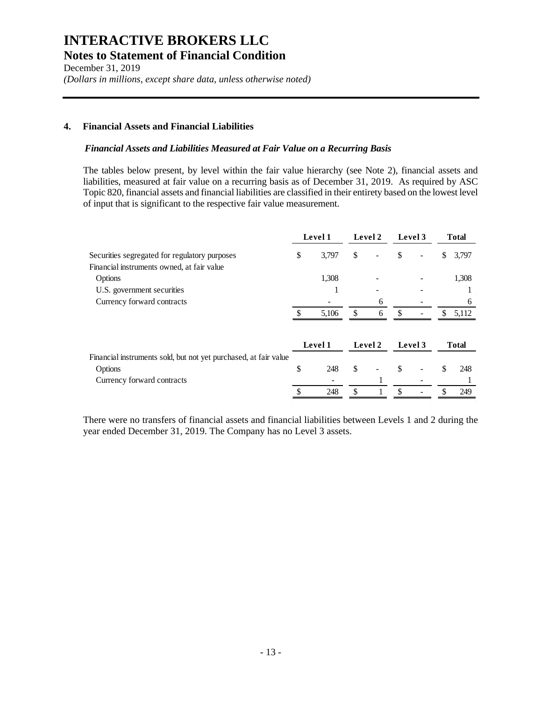December 31, 2019 *(Dollars in millions, except share data, unless otherwise noted)*

### **4. Financial Assets and Financial Liabilities**

#### *Financial Assets and Liabilities Measured at Fair Value on a Recurring Basis*

The tables below present, by level within the fair value hierarchy (see Note 2), financial assets and liabilities, measured at fair value on a recurring basis as of December 31, 2019. As required by ASC Topic 820, financial assets and financial liabilities are classified in their entirety based on the lowest level of input that is significant to the respective fair value measurement.

|                                                                  | Level 1 |         | Level 2 |         | Level 3 |         | <b>Total</b>  |              |
|------------------------------------------------------------------|---------|---------|---------|---------|---------|---------|---------------|--------------|
| Securities segregated for regulatory purposes                    | \$      | 3,797   | \$      |         | \$      |         | \$            | 3,797        |
| Financial instruments owned, at fair value                       |         |         |         |         |         |         |               |              |
| Options                                                          |         | 1,308   |         |         |         |         |               | 1,308        |
| U.S. government securities                                       |         |         |         |         |         |         |               |              |
| Currency forward contracts                                       |         |         |         | 6       |         |         |               | <sub>6</sub> |
|                                                                  |         | 5,106   | \$      | 6       | \$      |         | \$.           | 5,112        |
|                                                                  |         | Level 1 |         | Level 2 |         | Level 3 |               | <b>Total</b> |
| Financial instruments sold, but not yet purchased, at fair value |         |         |         |         |         |         |               |              |
| Options                                                          | \$      | 248     | \$      |         | \$      |         | \$            | 248          |
| Currency forward contracts                                       |         |         |         |         |         |         |               |              |
|                                                                  |         | 248     | \$      |         | \$      |         | $\mathcal{S}$ | 249          |

There were no transfers of financial assets and financial liabilities between Levels 1 and 2 during the year ended December 31, 2019. The Company has no Level 3 assets.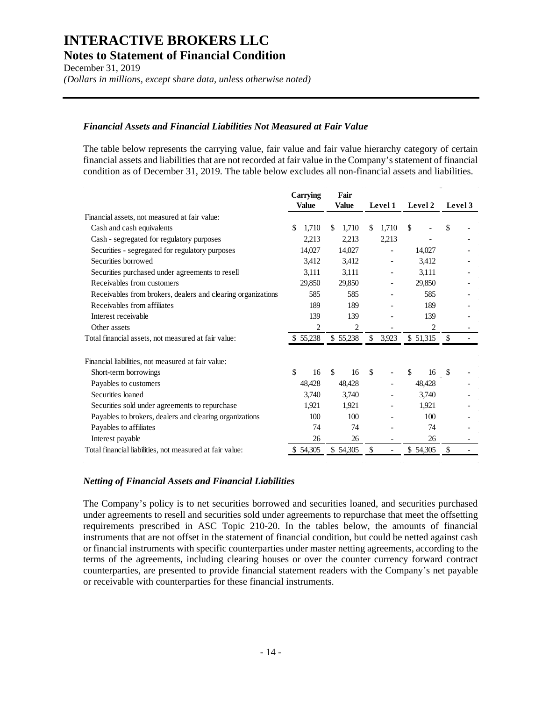December 31, 2019 *(Dollars in millions, except share data, unless otherwise noted)*

### *Financial Assets and Financial Liabilities Not Measured at Fair Value*

The table below represents the carrying value, fair value and fair value hierarchy category of certain financial assets and liabilities that are not recorded at fair value in the Company's statement of financial condition as of December 31, 2019. The table below excludes all non-financial assets and liabilities.

|                                                              | Carrying       | Fair                |               |               |               |
|--------------------------------------------------------------|----------------|---------------------|---------------|---------------|---------------|
|                                                              | <b>Value</b>   | <b>Value</b>        | Level 1       | Level 2       | Level 3       |
| Financial assets, not measured at fair value:                |                |                     |               |               |               |
| Cash and cash equivalents                                    | \$<br>1,710    | 1,710<br>\$.        | 1,710<br>\$.  | <sup>\$</sup> | \$            |
| Cash - segregated for regulatory purposes                    | 2,213          | 2,213               | 2,213         |               |               |
| Securities - segregated for regulatory purposes              | 14,027         | 14,027              |               | 14,027        |               |
| Securities borrowed                                          | 3,412          | 3,412               |               | 3,412         |               |
| Securities purchased under agreements to resell              | 3,111          | 3,111               |               | 3,111         |               |
| Receivables from customers                                   | 29,850         | 29,850              |               | 29,850        |               |
| Receivables from brokers, dealers and clearing organizations | 585            | 585                 |               | 585           |               |
| Receivables from affiliates                                  | 189            | 189                 |               | 189           |               |
| Interest receivable                                          | 139            | 139                 |               | 139           |               |
| Other assets                                                 | $\overline{c}$ | 2                   |               | 2             |               |
| Total financial assets, not measured at fair value:          | \$55,238       | \$55,238            | \$<br>3,923   | \$ 51,315     |               |
| Financial liabilities, not measured at fair value:           |                |                     |               |               |               |
| Short-term borrowings                                        | \$<br>16       | <sup>\$</sup><br>16 | $\mathcal{S}$ | \$<br>16      | $\mathcal{S}$ |
| Payables to customers                                        | 48,428         | 48,428              |               | 48,428        |               |
| Securities loaned                                            | 3,740          | 3,740               |               | 3,740         |               |
| Securities sold under agreements to repurchase               | 1,921          | 1,921               |               | 1,921         |               |
| Payables to brokers, dealers and clearing organizations      | 100            | 100                 |               | 100           |               |
| Payables to affiliates                                       | 74             | 74                  |               | 74            |               |
| Interest payable                                             | 26             | 26                  |               | 26            |               |
| Total financial liabilities, not measured at fair value:     | \$54,305       | \$54,305            | S             | \$54,305      |               |
|                                                              |                |                     |               |               |               |

### *Netting of Financial Assets and Financial Liabilities*

The Company's policy is to net securities borrowed and securities loaned, and securities purchased under agreements to resell and securities sold under agreements to repurchase that meet the offsetting requirements prescribed in ASC Topic 210-20. In the tables below, the amounts of financial instruments that are not offset in the statement of financial condition, but could be netted against cash or financial instruments with specific counterparties under master netting agreements, according to the terms of the agreements, including clearing houses or over the counter currency forward contract counterparties, are presented to provide financial statement readers with the Company's net payable or receivable with counterparties for these financial instruments.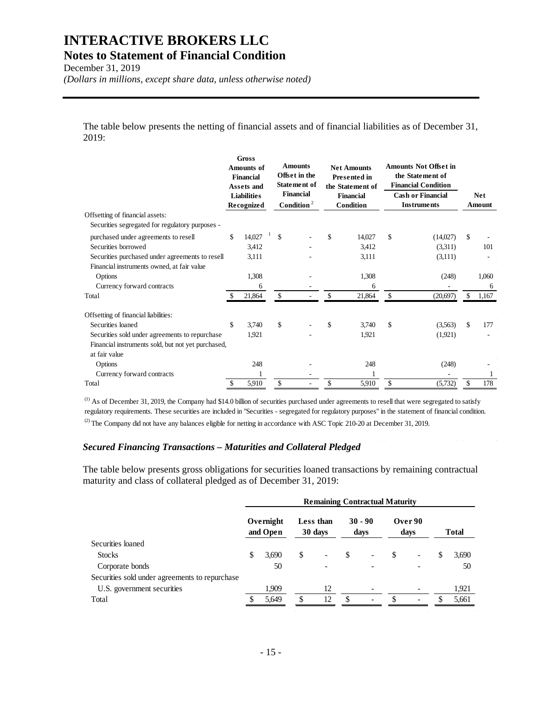December 31, 2019

*(Dollars in millions, except share data, unless otherwise noted)*

The table below presents the netting of financial assets and of financial liabilities as of December 31, 2019:

|                                                    | <b>Amounts of</b><br><b>Financial</b><br>Assets and<br><b>Liabilities</b><br><b>Recognized</b> |        | <b>Gross</b> |              |  |     |        |               |          |               |       |  |  |  |  |  |  |  |  |  |  |  |  |  | <b>Amounts</b><br>Offset in the<br><b>Statement of</b><br><b>Financial</b><br>Condition <sup>2</sup> |  |  |  | <b>Net Amounts</b><br><b>Presented in</b><br>the Statement of<br><b>Financial</b><br>Condition |  |  |  | <b>Amounts Not Offset in</b><br>the Statement of<br><b>Financial Condition</b><br><b>Cash or Financial</b><br><b>Instruments</b> |  |  |  | <b>Net</b><br>Amount |
|----------------------------------------------------|------------------------------------------------------------------------------------------------|--------|--------------|--------------|--|-----|--------|---------------|----------|---------------|-------|--|--|--|--|--|--|--|--|--|--|--|--|--|------------------------------------------------------------------------------------------------------|--|--|--|------------------------------------------------------------------------------------------------|--|--|--|----------------------------------------------------------------------------------------------------------------------------------|--|--|--|----------------------|
| Offsetting of financial assets:                    |                                                                                                |        |              |              |  |     |        |               |          |               |       |  |  |  |  |  |  |  |  |  |  |  |  |  |                                                                                                      |  |  |  |                                                                                                |  |  |  |                                                                                                                                  |  |  |  |                      |
| Securities segregated for regulatory purposes -    |                                                                                                |        |              |              |  |     |        |               |          |               |       |  |  |  |  |  |  |  |  |  |  |  |  |  |                                                                                                      |  |  |  |                                                                                                |  |  |  |                                                                                                                                  |  |  |  |                      |
| purchased under agreements to resell               | \$                                                                                             | 14,027 |              | $\mathbb{S}$ |  | \$  | 14,027 | $\mathcal{S}$ | (14,027) | $\mathbb{S}$  |       |  |  |  |  |  |  |  |  |  |  |  |  |  |                                                                                                      |  |  |  |                                                                                                |  |  |  |                                                                                                                                  |  |  |  |                      |
| Securities borrowed                                |                                                                                                | 3,412  |              |              |  |     | 3,412  |               | (3,311)  |               | 101   |  |  |  |  |  |  |  |  |  |  |  |  |  |                                                                                                      |  |  |  |                                                                                                |  |  |  |                                                                                                                                  |  |  |  |                      |
| Securities purchased under agreements to resell    |                                                                                                | 3,111  |              |              |  |     | 3,111  |               | (3,111)  |               |       |  |  |  |  |  |  |  |  |  |  |  |  |  |                                                                                                      |  |  |  |                                                                                                |  |  |  |                                                                                                                                  |  |  |  |                      |
| Financial instruments owned, at fair value         |                                                                                                |        |              |              |  |     |        |               |          |               |       |  |  |  |  |  |  |  |  |  |  |  |  |  |                                                                                                      |  |  |  |                                                                                                |  |  |  |                                                                                                                                  |  |  |  |                      |
| Options                                            |                                                                                                | 1,308  |              |              |  |     | 1,308  |               | (248)    |               | 1,060 |  |  |  |  |  |  |  |  |  |  |  |  |  |                                                                                                      |  |  |  |                                                                                                |  |  |  |                                                                                                                                  |  |  |  |                      |
| Currency forward contracts                         |                                                                                                | 6      |              |              |  |     | 6      |               |          |               | 6     |  |  |  |  |  |  |  |  |  |  |  |  |  |                                                                                                      |  |  |  |                                                                                                |  |  |  |                                                                                                                                  |  |  |  |                      |
| Total                                              |                                                                                                | 21,864 |              | \$           |  |     | 21,864 | \$            | (20,697) |               | 1,167 |  |  |  |  |  |  |  |  |  |  |  |  |  |                                                                                                      |  |  |  |                                                                                                |  |  |  |                                                                                                                                  |  |  |  |                      |
| Offsetting of financial liabilities:               |                                                                                                |        |              |              |  |     |        |               |          |               |       |  |  |  |  |  |  |  |  |  |  |  |  |  |                                                                                                      |  |  |  |                                                                                                |  |  |  |                                                                                                                                  |  |  |  |                      |
| Securities loaned                                  | \$                                                                                             | 3.740  |              | \$           |  | \$. | 3,740  | $\mathcal{S}$ | (3,563)  | <sup>\$</sup> | 177   |  |  |  |  |  |  |  |  |  |  |  |  |  |                                                                                                      |  |  |  |                                                                                                |  |  |  |                                                                                                                                  |  |  |  |                      |
| Securities sold under agreements to repurchase     |                                                                                                | 1,921  |              |              |  |     | 1.921  |               | (1,921)  |               |       |  |  |  |  |  |  |  |  |  |  |  |  |  |                                                                                                      |  |  |  |                                                                                                |  |  |  |                                                                                                                                  |  |  |  |                      |
| Financial instruments sold, but not yet purchased, |                                                                                                |        |              |              |  |     |        |               |          |               |       |  |  |  |  |  |  |  |  |  |  |  |  |  |                                                                                                      |  |  |  |                                                                                                |  |  |  |                                                                                                                                  |  |  |  |                      |
| at fair value                                      |                                                                                                |        |              |              |  |     |        |               |          |               |       |  |  |  |  |  |  |  |  |  |  |  |  |  |                                                                                                      |  |  |  |                                                                                                |  |  |  |                                                                                                                                  |  |  |  |                      |
| Options                                            |                                                                                                | 248    |              |              |  |     | 248    |               | (248)    |               |       |  |  |  |  |  |  |  |  |  |  |  |  |  |                                                                                                      |  |  |  |                                                                                                |  |  |  |                                                                                                                                  |  |  |  |                      |
| Currency forward contracts                         |                                                                                                |        |              |              |  |     |        |               |          |               |       |  |  |  |  |  |  |  |  |  |  |  |  |  |                                                                                                      |  |  |  |                                                                                                |  |  |  |                                                                                                                                  |  |  |  |                      |
| Total                                              | \$                                                                                             | 5,910  |              | \$           |  | \$  | 5,910  | $\mathcal{S}$ | (5,732)  | \$            | 178   |  |  |  |  |  |  |  |  |  |  |  |  |  |                                                                                                      |  |  |  |                                                                                                |  |  |  |                                                                                                                                  |  |  |  |                      |

 $<sup>(1)</sup>$  As of December 31, 2019, the Company had \$14.0 billion of securities purchased under agreements to resell that were segregated to satisfy</sup> regulatory requirements. These securities are included in "Securities - segregated for regulatory purposes" in the statement of financial condition. (2) The Company did not have any balances eligible for netting in accordance with ASC Topic 210-20 at December 31, 2019.

#### *Secured Financing Transactions – Maturities and Collateral Pledged*

The table below presents gross obligations for securities loaned transactions by remaining contractual maturity and class of collateral pledged as of December 31, 2019:

|                                                | <b>Remaining Contractual Maturity</b> |                       |    |                      |    |                          |    |                 |    |              |
|------------------------------------------------|---------------------------------------|-----------------------|----|----------------------|----|--------------------------|----|-----------------|----|--------------|
|                                                |                                       | Overnight<br>and Open |    | Less than<br>30 days |    | $30 - 90$<br>days        |    | Over 90<br>days |    | <b>Total</b> |
| Securities loaned                              |                                       |                       |    |                      |    |                          |    |                 |    |              |
| <b>Stocks</b>                                  | \$                                    | 3,690                 | \$ | ۰                    | \$ | $\overline{\phantom{a}}$ | \$ |                 | \$ | 3,690        |
| Corporate bonds                                |                                       | 50                    |    |                      |    |                          |    |                 |    | 50           |
| Securities sold under agreements to repurchase |                                       |                       |    |                      |    |                          |    |                 |    |              |
| U.S. government securities                     |                                       | 1,909                 |    | 12                   |    |                          |    |                 |    | 1,921        |
| Total                                          |                                       | 5.649                 |    | 12                   | \$ |                          |    |                 |    | 5,661        |
|                                                |                                       |                       |    |                      |    |                          |    |                 |    |              |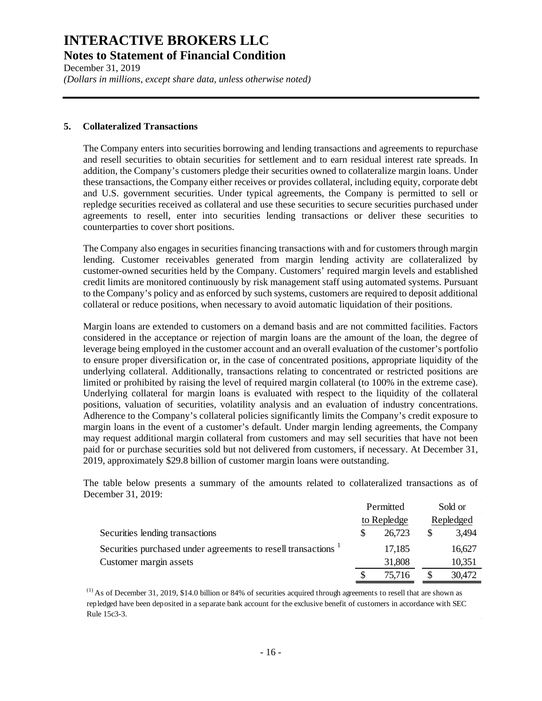December 31, 2019 *(Dollars in millions, except share data, unless otherwise noted)*

#### **5. Collateralized Transactions**

The Company enters into securities borrowing and lending transactions and agreements to repurchase and resell securities to obtain securities for settlement and to earn residual interest rate spreads. In addition, the Company's customers pledge their securities owned to collateralize margin loans. Under these transactions, the Company either receives or provides collateral, including equity, corporate debt and U.S. government securities. Under typical agreements, the Company is permitted to sell or repledge securities received as collateral and use these securities to secure securities purchased under agreements to resell, enter into securities lending transactions or deliver these securities to counterparties to cover short positions.

The Company also engages in securities financing transactions with and for customers through margin lending. Customer receivables generated from margin lending activity are collateralized by customer-owned securities held by the Company. Customers' required margin levels and established credit limits are monitored continuously by risk management staff using automated systems. Pursuant to the Company's policy and as enforced by such systems, customers are required to deposit additional collateral or reduce positions, when necessary to avoid automatic liquidation of their positions.

Margin loans are extended to customers on a demand basis and are not committed facilities. Factors considered in the acceptance or rejection of margin loans are the amount of the loan, the degree of leverage being employed in the customer account and an overall evaluation of the customer's portfolio to ensure proper diversification or, in the case of concentrated positions, appropriate liquidity of the underlying collateral. Additionally, transactions relating to concentrated or restricted positions are limited or prohibited by raising the level of required margin collateral (to 100% in the extreme case). Underlying collateral for margin loans is evaluated with respect to the liquidity of the collateral positions, valuation of securities, volatility analysis and an evaluation of industry concentrations. Adherence to the Company's collateral policies significantly limits the Company's credit exposure to margin loans in the event of a customer's default. Under margin lending agreements, the Company may request additional margin collateral from customers and may sell securities that have not been paid for or purchase securities sold but not delivered from customers, if necessary. At December 31, 2019, approximately \$29.8 billion of customer margin loans were outstanding.

The table below presents a summary of the amounts related to collateralized transactions as of December 31, 2019:

|                                                              | Permitted   | Sold or |           |  |
|--------------------------------------------------------------|-------------|---------|-----------|--|
|                                                              | to Repledge |         | Repledged |  |
| Securities lending transactions                              | 26,723      |         | 3,494     |  |
| Securities purchased under agreements to resell transactions | 17,185      |         | 16,627    |  |
| Customer margin assets                                       | 31,808      |         | 10,351    |  |
|                                                              | 75.716      |         | 30,472    |  |

 $<sup>(1)</sup>$  As of December 31, 2019, \$14.0 billion or 84% of securities acquired through agreements to resell that are shown as</sup> repledged have been deposited in a separate bank account for the exclusive benefit of customers in accordance with SEC Rule 15c3-3.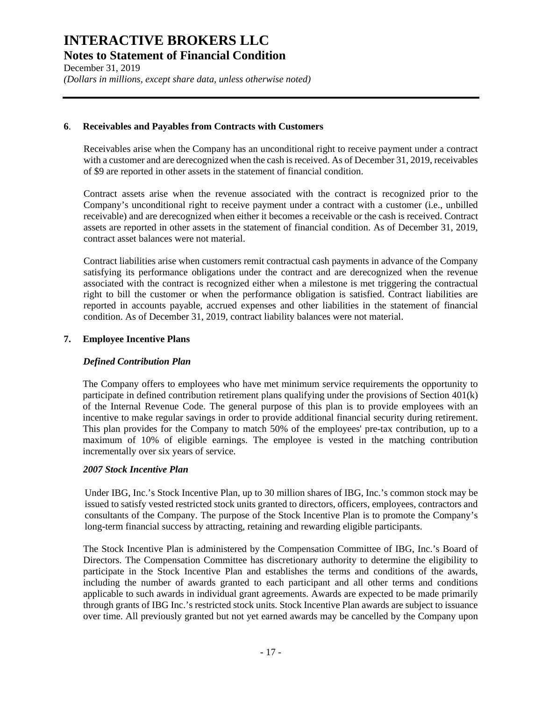December 31, 2019 *(Dollars in millions, except share data, unless otherwise noted)*

### **6**. **Receivables and Payables from Contracts with Customers**

Receivables arise when the Company has an unconditional right to receive payment under a contract with a customer and are derecognized when the cash is received. As of December 31, 2019, receivables of \$9 are reported in other assets in the statement of financial condition.

Contract assets arise when the revenue associated with the contract is recognized prior to the Company's unconditional right to receive payment under a contract with a customer (i.e., unbilled receivable) and are derecognized when either it becomes a receivable or the cash is received. Contract assets are reported in other assets in the statement of financial condition. As of December 31, 2019, contract asset balances were not material.

Contract liabilities arise when customers remit contractual cash payments in advance of the Company satisfying its performance obligations under the contract and are derecognized when the revenue associated with the contract is recognized either when a milestone is met triggering the contractual right to bill the customer or when the performance obligation is satisfied. Contract liabilities are reported in accounts payable, accrued expenses and other liabilities in the statement of financial condition. As of December 31, 2019, contract liability balances were not material.

### **7. Employee Incentive Plans**

### *Defined Contribution Plan*

The Company offers to employees who have met minimum service requirements the opportunity to participate in defined contribution retirement plans qualifying under the provisions of Section 401(k) of the Internal Revenue Code. The general purpose of this plan is to provide employees with an incentive to make regular savings in order to provide additional financial security during retirement. This plan provides for the Company to match 50% of the employees' pre-tax contribution, up to a maximum of 10% of eligible earnings. The employee is vested in the matching contribution incrementally over six years of service.

### *2007 Stock Incentive Plan*

Under IBG, Inc.'s Stock Incentive Plan, up to 30 million shares of IBG, Inc.'s common stock may be issued to satisfy vested restricted stock units granted to directors, officers, employees, contractors and consultants of the Company. The purpose of the Stock Incentive Plan is to promote the Company's long-term financial success by attracting, retaining and rewarding eligible participants.

The Stock Incentive Plan is administered by the Compensation Committee of IBG, Inc.'s Board of Directors. The Compensation Committee has discretionary authority to determine the eligibility to participate in the Stock Incentive Plan and establishes the terms and conditions of the awards, including the number of awards granted to each participant and all other terms and conditions applicable to such awards in individual grant agreements. Awards are expected to be made primarily through grants of IBG Inc.'s restricted stock units. Stock Incentive Plan awards are subject to issuance over time. All previously granted but not yet earned awards may be cancelled by the Company upon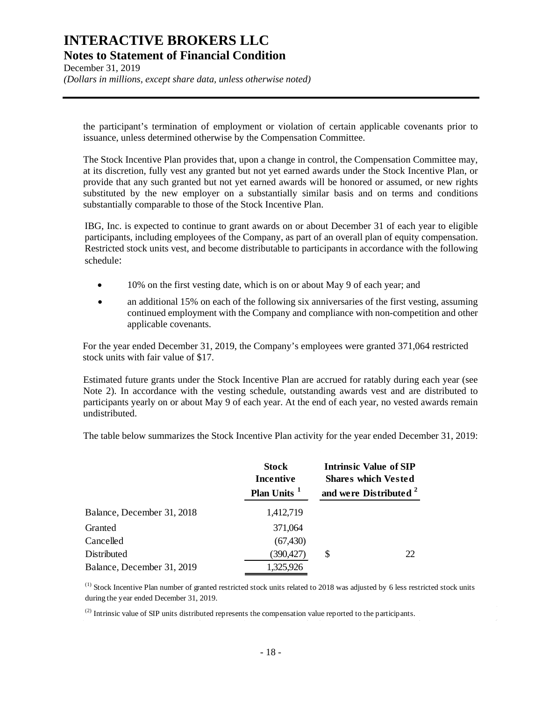December 31, 2019 *(Dollars in millions, except share data, unless otherwise noted)*

the participant's termination of employment or violation of certain applicable covenants prior to issuance, unless determined otherwise by the Compensation Committee.

The Stock Incentive Plan provides that, upon a change in control, the Compensation Committee may, at its discretion, fully vest any granted but not yet earned awards under the Stock Incentive Plan, or provide that any such granted but not yet earned awards will be honored or assumed, or new rights substituted by the new employer on a substantially similar basis and on terms and conditions substantially comparable to those of the Stock Incentive Plan.

IBG, Inc. is expected to continue to grant awards on or about December 31 of each year to eligible participants, including employees of the Company, as part of an overall plan of equity compensation. Restricted stock units vest, and become distributable to participants in accordance with the following schedule:

- 10% on the first vesting date, which is on or about May 9 of each year; and
- an additional 15% on each of the following six anniversaries of the first vesting, assuming continued employment with the Company and compliance with non-competition and other applicable covenants.

For the year ended December 31, 2019, the Company's employees were granted 371,064 restricted stock units with fair value of \$17.

Estimated future grants under the Stock Incentive Plan are accrued for ratably during each year (see Note 2). In accordance with the vesting schedule, outstanding awards vest and are distributed to participants yearly on or about May 9 of each year. At the end of each year, no vested awards remain undistributed.

The table below summarizes the Stock Incentive Plan activity for the year ended December 31, 2019:

|                            | <b>Stock</b><br>Incentive<br>Plan Units <sup>1</sup> | Intrinsic Value of SIP<br><b>Shares which Vested</b><br>and were Distributed <sup>2</sup> |
|----------------------------|------------------------------------------------------|-------------------------------------------------------------------------------------------|
| Balance, December 31, 2018 | 1,412,719                                            |                                                                                           |
| Granted                    | 371,064                                              |                                                                                           |
| Cancelled                  | (67, 430)                                            |                                                                                           |
| Distributed                | (390,427)                                            | \$<br>22                                                                                  |
| Balance, December 31, 2019 | 1,325,926                                            |                                                                                           |

 $<sup>(1)</sup>$  Stock Incentive Plan number of granted restricted stock units related to 2018 was adjusted by 6 less restricted stock units</sup> during the year ended December 31, 2019.

 $^{(2)}$  Intrinsic value of SIP units distributed represents the compensation value reported to the participants.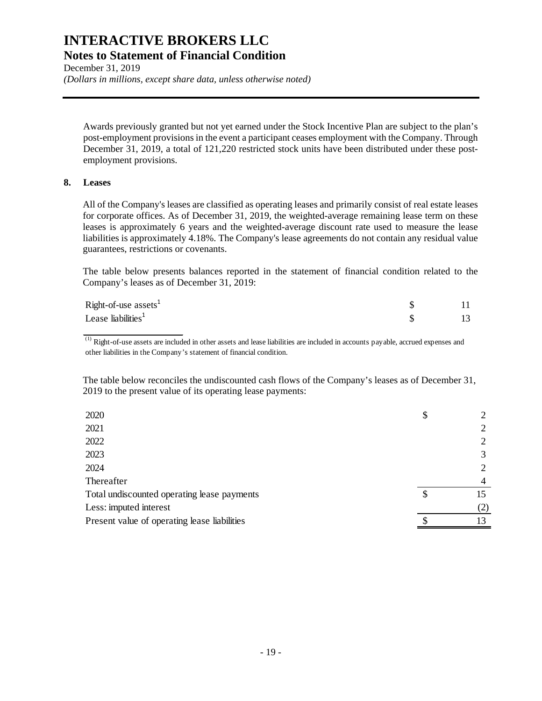December 31, 2019 *(Dollars in millions, except share data, unless otherwise noted)*

Awards previously granted but not yet earned under the Stock Incentive Plan are subject to the plan's post-employment provisionsin the event a participant ceases employment with the Company. Through December 31, 2019, a total of 121,220 restricted stock units have been distributed under these postemployment provisions.

### **8. Leases**

All of the Company's leases are classified as operating leases and primarily consist of real estate leases for corporate offices. As of December 31, 2019, the weighted-average remaining lease term on these leases is approximately 6 years and the weighted-average discount rate used to measure the lease liabilities is approximately 4.18%. The Company's lease agreements do not contain any residual value guarantees, restrictions or covenants.

The table below presents balances reported in the statement of financial condition related to the Company's leases as of December 31, 2019:

| Right-of-use $\text{asserts}^1$ |  |
|---------------------------------|--|
| Lease liabilities <sup>1</sup>  |  |

 $\overline{^{(1)}}$  Right-of-use assets are included in other assets and lease liabilities are included in accounts payable, accrued expenses and other liabilities in the Company's statement of financial condition.

The table below reconciles the undiscounted cash flows of the Company's leases as of December 31, 2019 to the present value of its operating lease payments:

| 2020                                         | \$ |     |
|----------------------------------------------|----|-----|
| 2021                                         |    | 2   |
| 2022                                         |    | 2   |
| 2023                                         |    | 3   |
| 2024                                         |    | 2   |
| Thereafter                                   |    | 4   |
| Total undiscounted operating lease payments  | S  |     |
| Less: imputed interest                       |    | (2) |
| Present value of operating lease liabilities |    | 13  |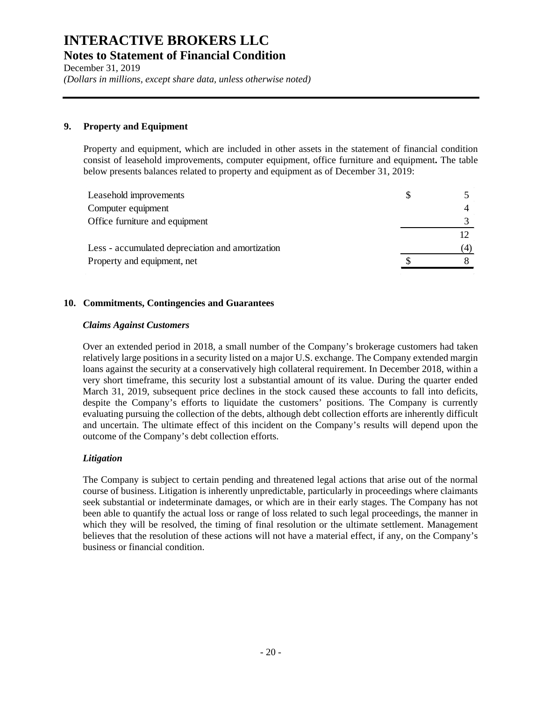December 31, 2019 *(Dollars in millions, except share data, unless otherwise noted)*

### **9. Property and Equipment**

Property and equipment, which are included in other assets in the statement of financial condition consist of leasehold improvements, computer equipment, office furniture and equipment**.** The table below presents balances related to property and equipment as of December 31, 2019:

| Leasehold improvements                           | S. |  |
|--------------------------------------------------|----|--|
| Computer equipment                               |    |  |
| Office furniture and equipment                   |    |  |
|                                                  |    |  |
| Less - accumulated depreciation and amortization |    |  |
| Property and equipment, net                      |    |  |

### **10. Commitments, Contingencies and Guarantees**

### *Claims Against Customers*

Over an extended period in 2018, a small number of the Company's brokerage customers had taken relatively large positions in a security listed on a major U.S. exchange. The Company extended margin loans against the security at a conservatively high collateral requirement. In December 2018, within a very short timeframe, this security lost a substantial amount of its value. During the quarter ended March 31, 2019, subsequent price declines in the stock caused these accounts to fall into deficits, despite the Company's efforts to liquidate the customers' positions. The Company is currently evaluating pursuing the collection of the debts, although debt collection efforts are inherently difficult and uncertain. The ultimate effect of this incident on the Company's results will depend upon the outcome of the Company's debt collection efforts.

### *Litigation*

The Company is subject to certain pending and threatened legal actions that arise out of the normal course of business. Litigation is inherently unpredictable, particularly in proceedings where claimants seek substantial or indeterminate damages, or which are in their early stages. The Company has not been able to quantify the actual loss or range of loss related to such legal proceedings, the manner in which they will be resolved, the timing of final resolution or the ultimate settlement. Management believes that the resolution of these actions will not have a material effect, if any, on the Company's business or financial condition.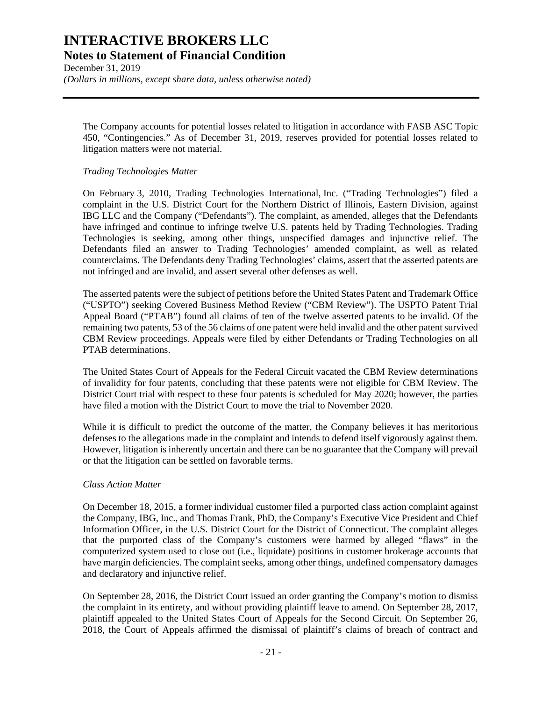December 31, 2019 *(Dollars in millions, except share data, unless otherwise noted)*

The Company accounts for potential losses related to litigation in accordance with FASB ASC Topic 450, "Contingencies." As of December 31, 2019, reserves provided for potential losses related to litigation matters were not material.

### *Trading Technologies Matter*

On February 3, 2010, Trading Technologies International, Inc. ("Trading Technologies") filed a complaint in the U.S. District Court for the Northern District of Illinois, Eastern Division, against IBG LLC and the Company ("Defendants"). The complaint, as amended, alleges that the Defendants have infringed and continue to infringe twelve U.S. patents held by Trading Technologies. Trading Technologies is seeking, among other things, unspecified damages and injunctive relief. The Defendants filed an answer to Trading Technologies' amended complaint, as well as related counterclaims. The Defendants deny Trading Technologies' claims, assert that the asserted patents are not infringed and are invalid, and assert several other defenses as well.

The asserted patents were the subject of petitions before the United States Patent and Trademark Office ("USPTO") seeking Covered Business Method Review ("CBM Review"). The USPTO Patent Trial Appeal Board ("PTAB") found all claims of ten of the twelve asserted patents to be invalid. Of the remaining two patents, 53 of the 56 claims of one patent were held invalid and the other patent survived CBM Review proceedings. Appeals were filed by either Defendants or Trading Technologies on all PTAB determinations.

The United States Court of Appeals for the Federal Circuit vacated the CBM Review determinations of invalidity for four patents, concluding that these patents were not eligible for CBM Review. The District Court trial with respect to these four patents is scheduled for May 2020; however, the parties have filed a motion with the District Court to move the trial to November 2020.

While it is difficult to predict the outcome of the matter, the Company believes it has meritorious defenses to the allegations made in the complaint and intends to defend itself vigorously against them. However, litigation is inherently uncertain and there can be no guarantee that the Company will prevail or that the litigation can be settled on favorable terms.

### *Class Action Matter*

On December 18, 2015, a former individual customer filed a purported class action complaint against the Company, IBG, Inc., and Thomas Frank, PhD, the Company's Executive Vice President and Chief Information Officer, in the U.S. District Court for the District of Connecticut. The complaint alleges that the purported class of the Company's customers were harmed by alleged "flaws" in the computerized system used to close out (i.e., liquidate) positions in customer brokerage accounts that have margin deficiencies. The complaint seeks, among other things, undefined compensatory damages and declaratory and injunctive relief.

On September 28, 2016, the District Court issued an order granting the Company's motion to dismiss the complaint in its entirety, and without providing plaintiff leave to amend. On September 28, 2017, plaintiff appealed to the United States Court of Appeals for the Second Circuit. On September 26, 2018, the Court of Appeals affirmed the dismissal of plaintiff's claims of breach of contract and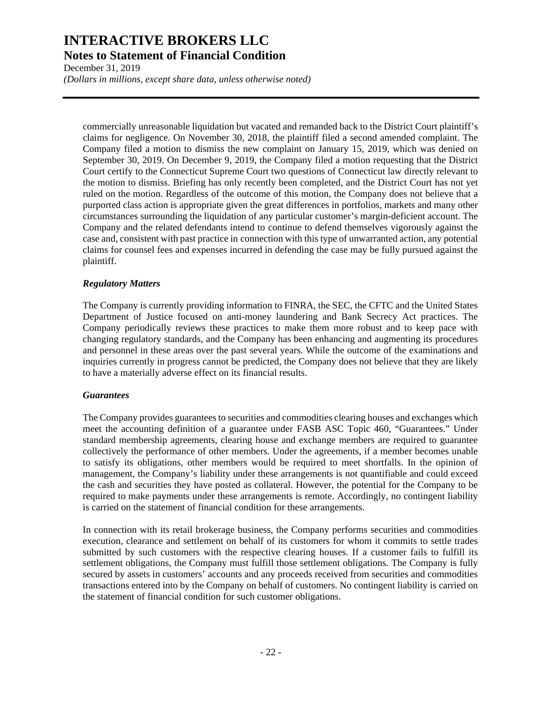December 31, 2019 *(Dollars in millions, except share data, unless otherwise noted)*

commercially unreasonable liquidation but vacated and remanded back to the District Court plaintiff's claims for negligence. On November 30, 2018, the plaintiff filed a second amended complaint. The Company filed a motion to dismiss the new complaint on January 15, 2019, which was denied on September 30, 2019. On December 9, 2019, the Company filed a motion requesting that the District Court certify to the Connecticut Supreme Court two questions of Connecticut law directly relevant to the motion to dismiss. Briefing has only recently been completed, and the District Court has not yet ruled on the motion. Regardless of the outcome of this motion, the Company does not believe that a purported class action is appropriate given the great differences in portfolios, markets and many other circumstances surrounding the liquidation of any particular customer's margin-deficient account. The Company and the related defendants intend to continue to defend themselves vigorously against the case and, consistent with past practice in connection with this type of unwarranted action, any potential claims for counsel fees and expenses incurred in defending the case may be fully pursued against the plaintiff.

### *Regulatory Matters*

The Company is currently providing information to FINRA, the SEC, the CFTC and the United States Department of Justice focused on anti-money laundering and Bank Secrecy Act practices. The Company periodically reviews these practices to make them more robust and to keep pace with changing regulatory standards, and the Company has been enhancing and augmenting its procedures and personnel in these areas over the past several years. While the outcome of the examinations and inquiries currently in progress cannot be predicted, the Company does not believe that they are likely to have a materially adverse effect on its financial results.

### *Guarantees*

The Company provides guarantees to securities and commodities clearing houses and exchanges which meet the accounting definition of a guarantee under FASB ASC Topic 460, "Guarantees." Under standard membership agreements, clearing house and exchange members are required to guarantee collectively the performance of other members. Under the agreements, if a member becomes unable to satisfy its obligations, other members would be required to meet shortfalls. In the opinion of management, the Company's liability under these arrangements is not quantifiable and could exceed the cash and securities they have posted as collateral. However, the potential for the Company to be required to make payments under these arrangements is remote. Accordingly, no contingent liability is carried on the statement of financial condition for these arrangements.

In connection with its retail brokerage business, the Company performs securities and commodities execution, clearance and settlement on behalf of its customers for whom it commits to settle trades submitted by such customers with the respective clearing houses. If a customer fails to fulfill its settlement obligations, the Company must fulfill those settlement obligations. The Company is fully secured by assets in customers' accounts and any proceeds received from securities and commodities transactions entered into by the Company on behalf of customers. No contingent liability is carried on the statement of financial condition for such customer obligations.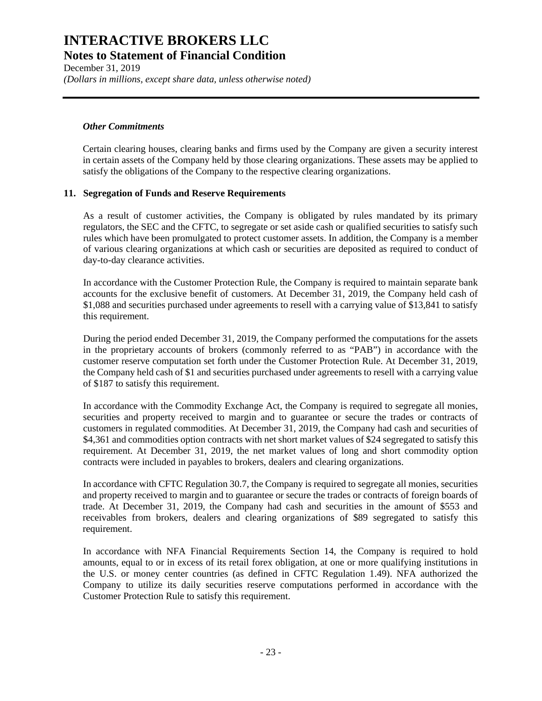December 31, 2019 *(Dollars in millions, except share data, unless otherwise noted)*

### *Other Commitments*

Certain clearing houses, clearing banks and firms used by the Company are given a security interest in certain assets of the Company held by those clearing organizations. These assets may be applied to satisfy the obligations of the Company to the respective clearing organizations.

### **11. Segregation of Funds and Reserve Requirements**

As a result of customer activities, the Company is obligated by rules mandated by its primary regulators, the SEC and the CFTC, to segregate or set aside cash or qualified securities to satisfy such rules which have been promulgated to protect customer assets. In addition, the Company is a member of various clearing organizations at which cash or securities are deposited as required to conduct of day-to-day clearance activities.

In accordance with the Customer Protection Rule, the Company is required to maintain separate bank accounts for the exclusive benefit of customers. At December 31, 2019, the Company held cash of \$1,088 and securities purchased under agreements to resell with a carrying value of \$13,841 to satisfy this requirement.

During the period ended December 31, 2019, the Company performed the computations for the assets in the proprietary accounts of brokers (commonly referred to as "PAB") in accordance with the customer reserve computation set forth under the Customer Protection Rule. At December 31, 2019, the Company held cash of \$1 and securities purchased under agreements to resell with a carrying value of \$187 to satisfy this requirement.

In accordance with the Commodity Exchange Act, the Company is required to segregate all monies, securities and property received to margin and to guarantee or secure the trades or contracts of customers in regulated commodities. At December 31, 2019, the Company had cash and securities of \$4,361 and commodities option contracts with net short market values of \$24 segregated to satisfy this requirement. At December 31, 2019, the net market values of long and short commodity option contracts were included in payables to brokers, dealers and clearing organizations.

In accordance with CFTC Regulation 30.7, the Company is required to segregate all monies, securities and property received to margin and to guarantee or secure the trades or contracts of foreign boards of trade. At December 31, 2019, the Company had cash and securities in the amount of \$553 and receivables from brokers, dealers and clearing organizations of \$89 segregated to satisfy this requirement.

In accordance with NFA Financial Requirements Section 14, the Company is required to hold amounts, equal to or in excess of its retail forex obligation, at one or more qualifying institutions in the U.S. or money center countries (as defined in CFTC Regulation 1.49). NFA authorized the Company to utilize its daily securities reserve computations performed in accordance with the Customer Protection Rule to satisfy this requirement.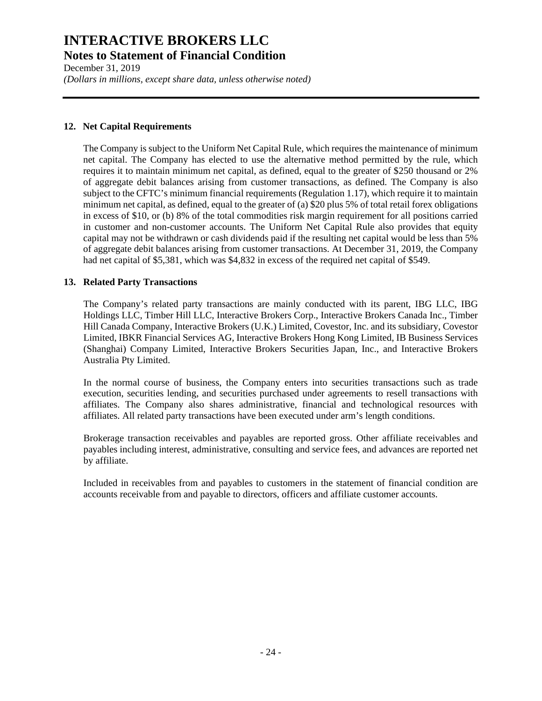December 31, 2019 *(Dollars in millions, except share data, unless otherwise noted)*

### **12. Net Capital Requirements**

The Company is subject to the Uniform Net Capital Rule, which requires the maintenance of minimum net capital. The Company has elected to use the alternative method permitted by the rule, which requires it to maintain minimum net capital, as defined, equal to the greater of \$250 thousand or 2% of aggregate debit balances arising from customer transactions, as defined. The Company is also subject to the CFTC's minimum financial requirements (Regulation 1.17), which require it to maintain minimum net capital, as defined, equal to the greater of (a) \$20 plus 5% of total retail forex obligations in excess of \$10, or (b) 8% of the total commodities risk margin requirement for all positions carried in customer and non-customer accounts. The Uniform Net Capital Rule also provides that equity capital may not be withdrawn or cash dividends paid if the resulting net capital would be less than 5% of aggregate debit balances arising from customer transactions. At December 31, 2019, the Company had net capital of \$5,381, which was \$4,832 in excess of the required net capital of \$549.

### **13. Related Party Transactions**

The Company's related party transactions are mainly conducted with its parent, IBG LLC, IBG Holdings LLC, Timber Hill LLC, Interactive Brokers Corp., Interactive Brokers Canada Inc., Timber Hill Canada Company, Interactive Brokers (U.K.) Limited, Covestor, Inc. and its subsidiary, Covestor Limited, IBKR Financial Services AG, Interactive Brokers Hong Kong Limited, IB Business Services (Shanghai) Company Limited, Interactive Brokers Securities Japan, Inc., and Interactive Brokers Australia Pty Limited.

In the normal course of business, the Company enters into securities transactions such as trade execution, securities lending, and securities purchased under agreements to resell transactions with affiliates. The Company also shares administrative, financial and technological resources with affiliates. All related party transactions have been executed under arm's length conditions.

Brokerage transaction receivables and payables are reported gross. Other affiliate receivables and payables including interest, administrative, consulting and service fees, and advances are reported net by affiliate.

Included in receivables from and payables to customers in the statement of financial condition are accounts receivable from and payable to directors, officers and affiliate customer accounts.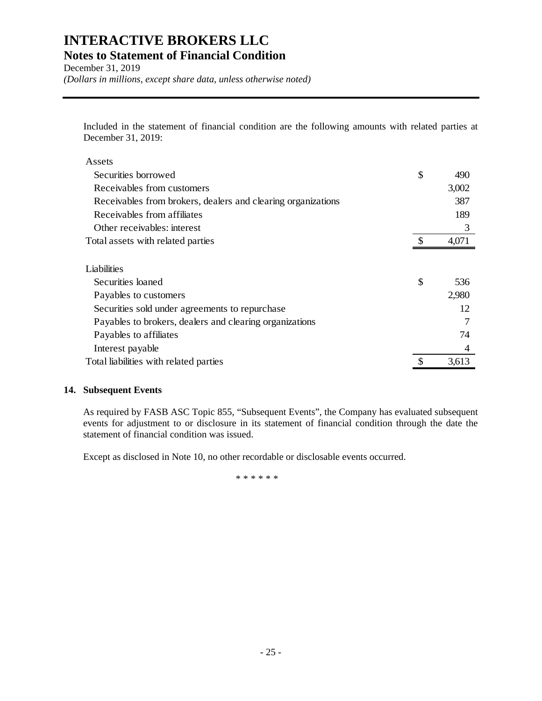December 31, 2019 *(Dollars in millions, except share data, unless otherwise noted)*

Included in the statement of financial condition are the following amounts with related parties at December 31, 2019:

| Assets                                                       |           |
|--------------------------------------------------------------|-----------|
| Securities borrowed                                          | \$<br>490 |
| Receivables from customers                                   | 3,002     |
| Receivables from brokers, dealers and clearing organizations | 387       |
| Receivables from affiliates                                  | 189       |
| Other receivables: interest                                  | 3         |
| Total assets with related parties                            | 4,071     |
|                                                              |           |
| Liabilities                                                  |           |
| Securities loaned                                            | \$<br>536 |
| Payables to customers                                        | 2,980     |
| Securities sold under agreements to repurchase               | 12        |
| Payables to brokers, dealers and clearing organizations      |           |
| Payables to affiliates                                       | 74        |
| Interest payable                                             | 4         |
| Total liabilities with related parties                       | 3,613     |

### **14. Subsequent Events**

As required by FASB ASC Topic 855, "Subsequent Events", the Company has evaluated subsequent events for adjustment to or disclosure in its statement of financial condition through the date the statement of financial condition was issued.

Except as disclosed in Note 10, no other recordable or disclosable events occurred.

\*\*\*\*\*\*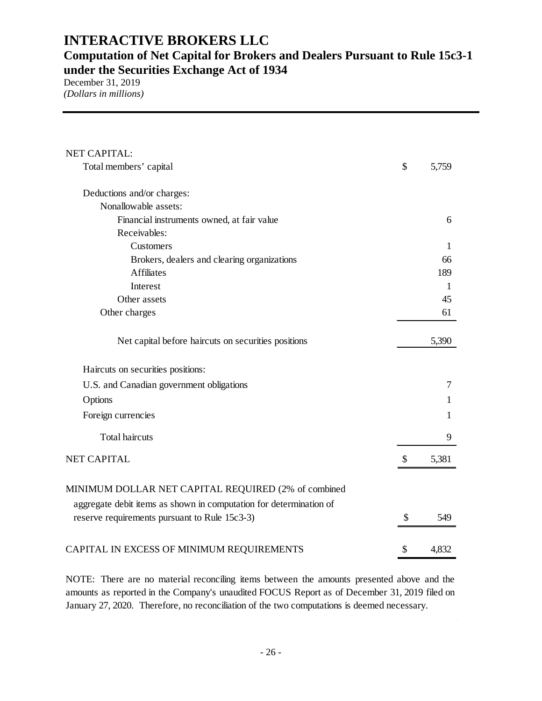**Computation of Net Capital for Brokers and Dealers Pursuant to Rule 15c3-1 under the Securities Exchange Act of 1934** 

December 31, 2019 *(Dollars in millions)*

| NET CAPITAL:                                                       |                           |       |
|--------------------------------------------------------------------|---------------------------|-------|
| Total members' capital                                             | \$                        | 5,759 |
| Deductions and/or charges:                                         |                           |       |
| Nonallowable assets:                                               |                           |       |
| Financial instruments owned, at fair value                         |                           | 6     |
| Receivables:                                                       |                           |       |
| Customers                                                          |                           | 1     |
| Brokers, dealers and clearing organizations                        |                           | 66    |
| <b>Affiliates</b>                                                  |                           | 189   |
| Interest                                                           |                           | 1     |
| Other assets                                                       |                           | 45    |
| Other charges                                                      |                           | 61    |
| Net capital before haircuts on securities positions                |                           | 5,390 |
| Haircuts on securities positions:                                  |                           |       |
| U.S. and Canadian government obligations                           |                           | 7     |
| Options                                                            |                           | 1     |
| Foreign currencies                                                 |                           | 1     |
| <b>Total haircuts</b>                                              |                           | 9     |
| <b>NET CAPITAL</b>                                                 | $\boldsymbol{\mathsf{S}}$ | 5,381 |
| MINIMUM DOLLAR NET CAPITAL REQUIRED (2% of combined                |                           |       |
| aggregate debit items as shown in computation for determination of |                           |       |
| reserve requirements pursuant to Rule 15c3-3)                      | \$                        | 549   |
| CAPITAL IN EXCESS OF MINIMUM REQUIREMENTS                          | \$                        | 4,832 |

NOTE: There are no material reconciling items between the amounts presented above and the amounts as reported in the Company's unaudited FOCUS Report as of December 31, 2019 filed on January 27, 2020. Therefore, no reconciliation of the two computations is deemed necessary.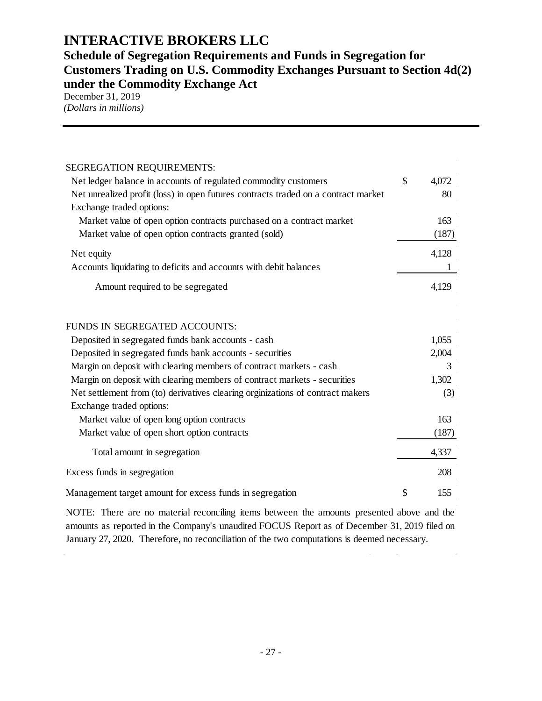### **Schedule of Segregation Requirements and Funds in Segregation for Customers Trading on U.S. Commodity Exchanges Pursuant to Section 4d(2) under the Commodity Exchange Act**

December 31, 2019 *(Dollars in millions)*

| SEGREGATION REQUIREMENTS:                                                          |             |
|------------------------------------------------------------------------------------|-------------|
| Net ledger balance in accounts of regulated commodity customers                    | \$<br>4,072 |
| Net unrealized profit (loss) in open futures contracts traded on a contract market | 80          |
| Exchange traded options:                                                           |             |
| Market value of open option contracts purchased on a contract market               | 163         |
| Market value of open option contracts granted (sold)                               | (187)       |
| Net equity                                                                         | 4,128       |
| Accounts liquidating to deficits and accounts with debit balances                  |             |
| Amount required to be segregated                                                   | 4,129       |
| <b>FUNDS IN SEGREGATED ACCOUNTS:</b>                                               |             |
| Deposited in segregated funds bank accounts - cash                                 | 1,055       |
| Deposited in segregated funds bank accounts - securities                           | 2,004       |
| Margin on deposit with clearing members of contract markets - cash                 | 3           |
| Margin on deposit with clearing members of contract markets - securities           | 1,302       |
| Net settlement from (to) derivatives clearing orginizations of contract makers     | (3)         |
| Exchange traded options:                                                           |             |
| Market value of open long option contracts                                         | 163         |
| Market value of open short option contracts                                        | (187)       |
| Total amount in segregation                                                        | 4,337       |
| Excess funds in segregation                                                        | 208         |
| Management target amount for excess funds in segregation                           | \$<br>155   |

NOTE: There are no material reconciling items between the amounts presented above and the amounts as reported in the Company's unaudited FOCUS Report as of December 31, 2019 filed on January 27, 2020. Therefore, no reconciliation of the two computations is deemed necessary.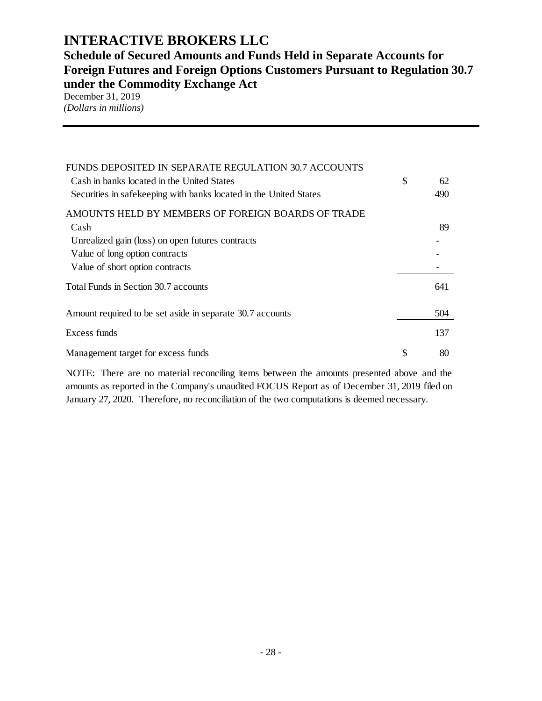**Schedule of Secured Amounts and Funds Held in Separate Accounts for Foreign Futures and Foreign Options Customers Pursuant to Regulation 30.7 under the Commodity Exchange Act**

December 31, 2019 *(Dollars in millions)*

| FUNDS DEPOSITED IN SEPARATE REGULATION 30.7 ACCOUNTS<br>Cash in banks located in the United States<br>Securities in safekeeping with banks located in the United States | \$<br>62<br>490 |
|-------------------------------------------------------------------------------------------------------------------------------------------------------------------------|-----------------|
| AMOUNTS HELD BY MEMBERS OF FOREIGN BOARDS OF TRADE                                                                                                                      |                 |
| Cash                                                                                                                                                                    | 89              |
| Unrealized gain (loss) on open futures contracts                                                                                                                        |                 |
| Value of long option contracts                                                                                                                                          |                 |
| Value of short option contracts                                                                                                                                         |                 |
| Total Funds in Section 30.7 accounts                                                                                                                                    | 641             |
| Amount required to be set aside in separate 30.7 accounts                                                                                                               | 504             |
| Excess funds                                                                                                                                                            | 137             |
| Management target for excess funds                                                                                                                                      | \$<br>80        |

NOTE: There are no material reconciling items between the amounts presented above and the amounts as reported in the Company's unaudited FOCUS Report as of December 31, 2019 filed on January 27, 2020. Therefore, no reconciliation of the two computations is deemed necessary.